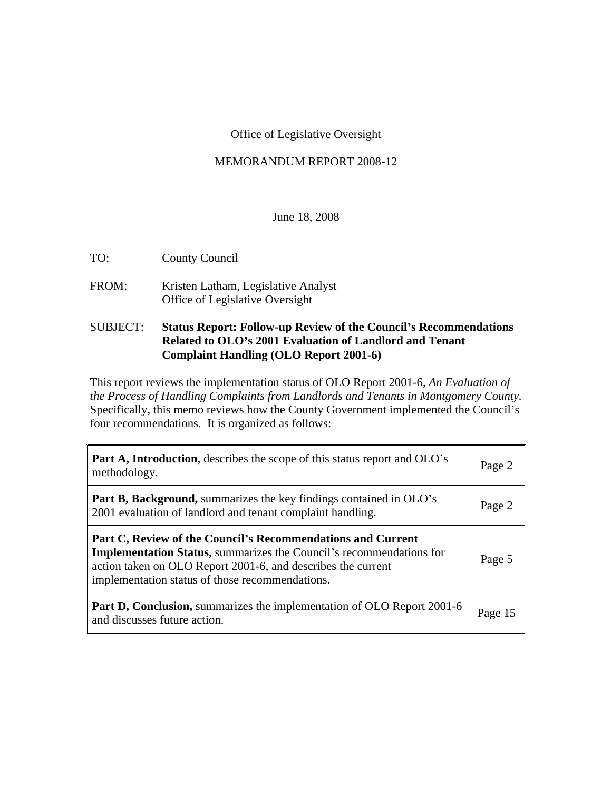#### Office of Legislative Oversight

#### MEMORANDUM REPORT 2008-12

#### June 18, 2008

TO: County Council

FROM: Kristen Latham, Legislative Analyst Office of Legislative Oversight

#### SUBJECT: **Status Report: Follow-up Review of the Council s Recommendations Related to OLO s 2001 Evaluation of Landlord and Tenant Complaint Handling (OLO Report 2001-6)**

This report reviews the implementation status of OLO Report 2001-6, *An Evaluation of the Process of Handling Complaints from Landlords and Tenants in Montgomery County.* Specifically, this memo reviews how the County Government implemented the Council's four recommendations. It is organized as follows:

| <b>Part A, Introduction</b> , describes the scope of this status report and OLO's<br>methodology.                                                                                                                                                            | Page 2 |
|--------------------------------------------------------------------------------------------------------------------------------------------------------------------------------------------------------------------------------------------------------------|--------|
| Part B, Background, summarizes the key findings contained in OLO's<br>2001 evaluation of landlord and tenant complaint handling.                                                                                                                             | Page 2 |
| Part C, Review of the Council's Recommendations and Current<br><b>Implementation Status, summarizes the Council's recommendations for</b><br>action taken on OLO Report 2001-6, and describes the current<br>implementation status of those recommendations. | Page 5 |
| <b>Part D, Conclusion,</b> summarizes the implementation of OLO Report 2001-6 $\vert$ Page 15<br>and discusses future action.                                                                                                                                |        |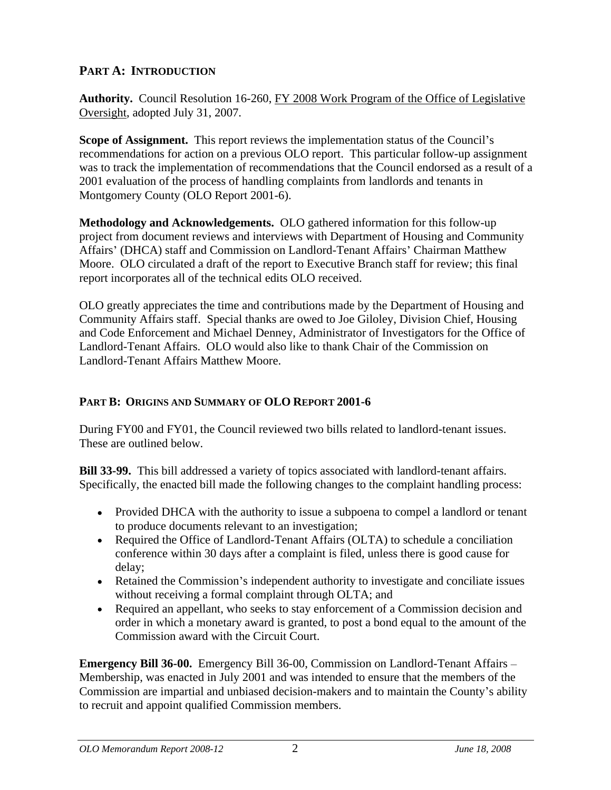# **PART A: INTRODUCTION**

**Authority.** Council Resolution 16-260, FY 2008 Work Program of the Office of Legislative Oversight, adopted July 31, 2007.

**Scope of Assignment.** This report reviews the implementation status of the Council's recommendations for action on a previous OLO report. This particular follow-up assignment was to track the implementation of recommendations that the Council endorsed as a result of a 2001 evaluation of the process of handling complaints from landlords and tenants in Montgomery County (OLO Report 2001-6).

**Methodology and Acknowledgements.** OLO gathered information for this follow-up project from document reviews and interviews with Department of Housing and Community Affairs' (DHCA) staff and Commission on Landlord-Tenant Affairs' Chairman Matthew Moore. OLO circulated a draft of the report to Executive Branch staff for review; this final report incorporates all of the technical edits OLO received.

OLO greatly appreciates the time and contributions made by the Department of Housing and Community Affairs staff. Special thanks are owed to Joe Giloley, Division Chief, Housing and Code Enforcement and Michael Denney, Administrator of Investigators for the Office of Landlord-Tenant Affairs. OLO would also like to thank Chair of the Commission on Landlord-Tenant Affairs Matthew Moore.

# **PART B: ORIGINS AND SUMMARY OF OLO REPORT 2001-6**

During FY00 and FY01, the Council reviewed two bills related to landlord-tenant issues. These are outlined below.

**Bill 33-99.** This bill addressed a variety of topics associated with landlord-tenant affairs. Specifically, the enacted bill made the following changes to the complaint handling process:

- Provided DHCA with the authority to issue a subpoena to compel a landlord or tenant to produce documents relevant to an investigation;
- Required the Office of Landlord-Tenant Affairs (OLTA) to schedule a conciliation  $\bullet$ conference within 30 days after a complaint is filed, unless there is good cause for delay;
- Retained the Commission's independent authority to investigate and conciliate issues without receiving a formal complaint through OLTA; and
- Required an appellant, who seeks to stay enforcement of a Commission decision and order in which a monetary award is granted, to post a bond equal to the amount of the Commission award with the Circuit Court.

**Emergency Bill 36-00.** Emergency Bill 36-00, Commission on Landlord-Tenant Affairs Membership, was enacted in July 2001 and was intended to ensure that the members of the Commission are impartial and unbiased decision-makers and to maintain the County's ability to recruit and appoint qualified Commission members.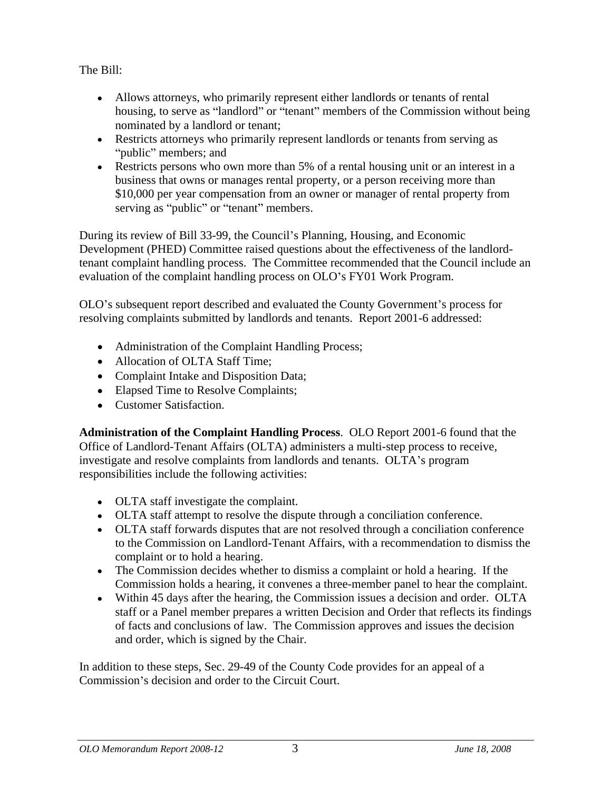The Bill: The Bill:  $\frac{1}{2}$  is the set of  $\frac{1}{2}$  is the set of  $\frac{1}{2}$  is the set of  $\frac{1}{2}$  is the set of  $\frac{1}{2}$  is the set of  $\frac{1}{2}$  is the set of  $\frac{1}{2}$  is the set of  $\frac{1}{2}$  is the set of  $\frac{1}{2}$ 

- Allows attorneys, who primarily represent either landlords or tenants of rental housing, to serve as "landlord" or "tenant" members of the Commission without being nominated by a landlord or tenant;
- Restricts attorneys who primarily represent landlords or tenants from serving as  $\bullet$ public" members; and
- Restricts persons who own more than 5% of a rental housing unit or an interest in a  $\bullet$ business that owns or manages rental property, or a person receiving more than \$10,000 per year compensation from an owner or manager of rental property from serving as "public" or "tenant" members.

During its review of Bill 33-99, the Council's Planning, Housing, and Economic Development (PHED) Committee raised questions about the effectiveness of the landlordtenant complaint handling process. The Committee recommended that the Council include an evaluation of the complaint handling process on OLO's FY01 Work Program.

OLO's subsequent report described and evaluated the County Government's process for resolving complaints submitted by landlords and tenants. Report 2001-6 addressed:

- Administration of the Complaint Handling Process;
- Allocation of OLTA Staff Time:
- Complaint Intake and Disposition Data;
- Elapsed Time to Resolve Complaints;
- **Customer Satisfaction**

**Administration of the Complaint Handling Process**. OLO Report 2001-6 found that the Office of Landlord-Tenant Affairs (OLTA) administers a multi-step process to receive, investigate and resolve complaints from landlords and tenants. OLTA's program responsibilities include the following activities:

- OLTA staff investigate the complaint.
- OLTA staff attempt to resolve the dispute through a conciliation conference.
- OLTA staff forwards disputes that are not resolved through a conciliation conference to the Commission on Landlord-Tenant Affairs, with a recommendation to dismiss the complaint or to hold a hearing.
- The Commission decides whether to dismiss a complaint or hold a hearing. If the Commission holds a hearing, it convenes a three-member panel to hear the complaint.
- Within 45 days after the hearing, the Commission issues a decision and order. OLTA staff or a Panel member prepares a written Decision and Order that reflects its findings of facts and conclusions of law. The Commission approves and issues the decision and order, which is signed by the Chair.

In addition to these steps, Sec. 29-49 of the County Code provides for an appeal of a Commission's decision and order to the Circuit Court.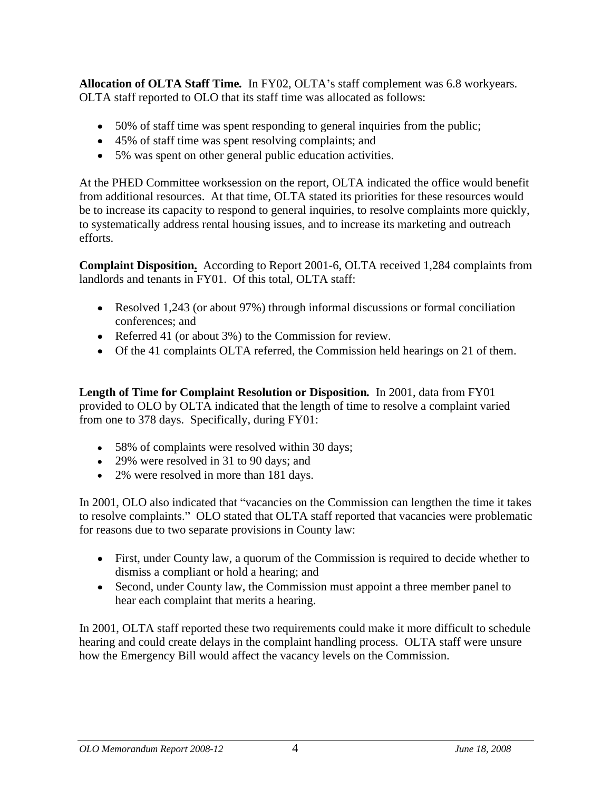**Allocation of OLTA Staff Time.** In FY02, OLTA's staff complement was 6.8 workyears.<br>OLTA staff reported to OLO that its staff time was allocated as follows:

- 50% of staff time was spent responding to general inquiries from the public;
- 45% of staff time was spent resolving complaints; and
- 5% was spent on other general public education activities.

At the PHED Committee worksession on the report, OLTA indicated the office would benefit from additional resources. At that time, OLTA stated its priorities for these resources would be to increase its capacity to respond to general inquiries, to resolve complaints more quickly, to systematically address rental housing issues, and to increase its marketing and outreach efforts.

**Complaint Disposition.** According to Report 2001-6, OLTA received 1,284 complaints from landlords and tenants in FY01. Of this total, OLTA staff:

- Resolved 1,243 (or about 97%) through informal discussions or formal conciliation conferences; and
- Referred 41 (or about 3%) to the Commission for review.
- Of the 41 complaints OLTA referred, the Commission held hearings on 21 of them.

**Length of Time for Complaint Resolution or Disposition***.* In 2001, data from FY01 provided to OLO by OLTA indicated that the length of time to resolve a complaint varied from one to 378 days. Specifically, during FY01:

- 58% of complaints were resolved within 30 days;
- 29% were resolved in 31 to 90 days; and
- 2% were resolved in more than 181 days.

In 2001, OLO also indicated that "vacancies on the Commission can lengthen the time it takes to resolve complaints." OLO stated that OLTA staff reported that vacancies were problematic for reasons due to two separate provisions in County law:

- First, under County law, a quorum of the Commission is required to decide whether to dismiss a compliant or hold a hearing; and
- Second, under County law, the Commission must appoint a three member panel to hear each complaint that merits a hearing.

In 2001, OLTA staff reported these two requirements could make it more difficult to schedule hearing and could create delays in the complaint handling process. OLTA staff were unsure how the Emergency Bill would affect the vacancy levels on the Commission.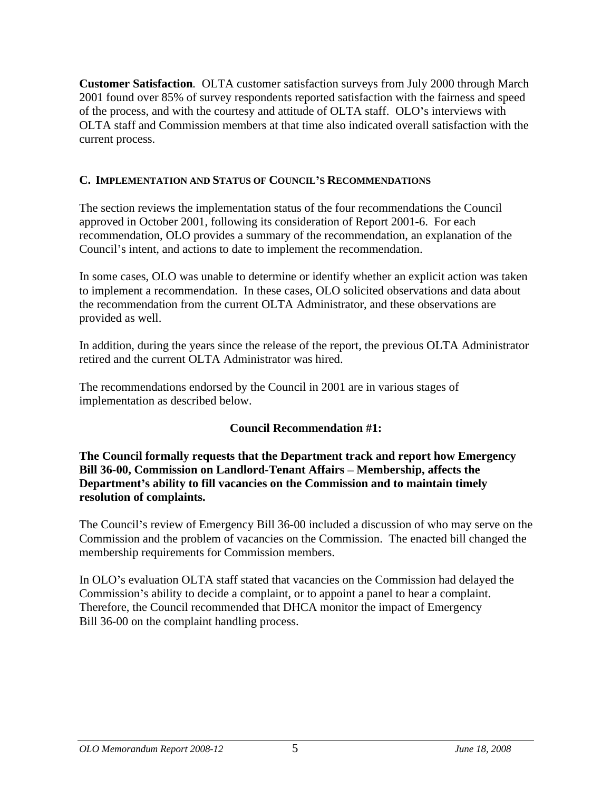**Customer Satisfaction***.* OLTA customer satisfaction surveys from July 2000 through March 2001 found over 85% of survey respondents reported satisfaction with the fairness and speed of the process, and with the courtesy and attitude of OLTA staff. OLO's interviews with OLTA staff and Commission members at that time also indicated overall satisfaction with the current process.

# **C. IMPLEMENTATION AND STATUS OF COUNCIL S RECOMMENDATIONS**

The section reviews the implementation status of the four recommendations the Council approved in October 2001, following its consideration of Report 2001-6. For each recommendation, OLO provides a summary of the recommendation, an explanation of the Council's intent, and actions to date to implement the recommendation.

In some cases, OLO was unable to determine or identify whether an explicit action was taken to implement a recommendation. In these cases, OLO solicited observations and data about the recommendation from the current OLTA Administrator, and these observations are provided as well.

In addition, during the years since the release of the report, the previous OLTA Administrator retired and the current OLTA Administrator was hired.

The recommendations endorsed by the Council in 2001 are in various stages of implementation as described below.

# **Council Recommendation #1:**

**The Council formally requests that the Department track and report how Emergency Bill 36-00, Commission on Landlord-Tenant Affairs – Membership, affects the Department s ability to fill vacancies on the Commission and to maintain timely resolution of complaints.** 

The Council's review of Emergency Bill 36-00 included a discussion of who may serve on the Commission and the problem of vacancies on the Commission. The enacted bill changed the membership requirements for Commission members.

In OLO's evaluation OLTA staff stated that vacancies on the Commission had delayed the Commission's ability to decide a complaint, or to appoint a panel to hear a complaint. Therefore, the Council recommended that DHCA monitor the impact of Emergency Bill 36-00 on the complaint handling process.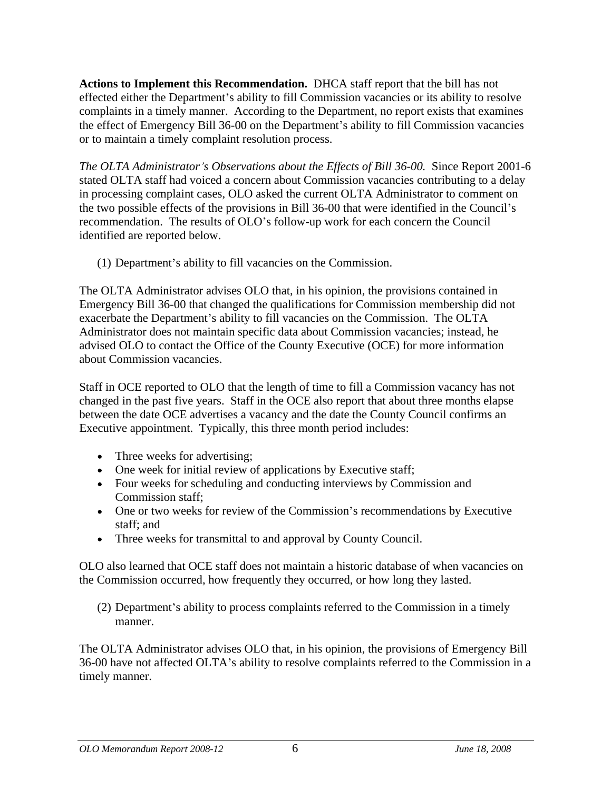**Actions to Implement this Recommendation.** DHCA staff report that the bill has not effected either the Department's ability to fill Commission vacancies or its ability to resolve complaints in a timely manner. According to the Department, no report exists that examines the effect of Emergency Bill 36-00 on the Department's ability to fill Commission vacancies or to maintain a timely complaint resolution process.

*The OLTA Administrator s Observations about the Ef ects of Bill 36-00.*Since Report 2001-6 stated OLTA staff had voiced a concern about Commission vacancies contributing to a delay in processing complaint cases, OLO asked the current OLTA Administrator to comment on the two possible effects of the provisions in Bill 36-00 that were identified in the Council's recommendation. The results of OLO's follow-up work for each concern the Council identified are reported below.

(1) Department s ability to fill vacancies on the Commission.

The OLTA Administrator advises OLO that, in his opinion, the provisions contained in Emergency Bill 36-00 that changed the qualifications for Commission membership did not exacerbate the Department's ability to fill vacancies on the Commission. The OLTA Administrator does not maintain specific data about Commission vacancies; instead, he advised OLO to contact the Office of the County Executive (OCE) for more information about Commission vacancies.

Staff in OCE reported to OLO that the length of time to fill a Commission vacancy has not changed in the past five years. Staff in the OCE also report that about three months elapse between the date OCE advertises a vacancy and the date the County Council confirms an Executive appointment. Typically, this three month period includes:

- Three weeks for advertising;
- One week for initial review of applications by Executive staff;
- Four weeks for scheduling and conducting interviews by Commission and Commission staff;
- One or two weeks for review of the Commission's recommendations by Executive staff; and
- Three weeks for transmittal to and approval by County Council.

OLO also learned that OCE staff does not maintain a historic database of when vacancies on the Commission occurred, how frequently they occurred, or how long they lasted.

(2) Department's ability to process complaints referred to the Commission in a timely manner.

The OLTA Administrator advises OLO that, in his opinion, the provisions of Emergency Bill 36-00 have not affected OLTA s ability to resolve complaints referred to the Commission in a timely manner.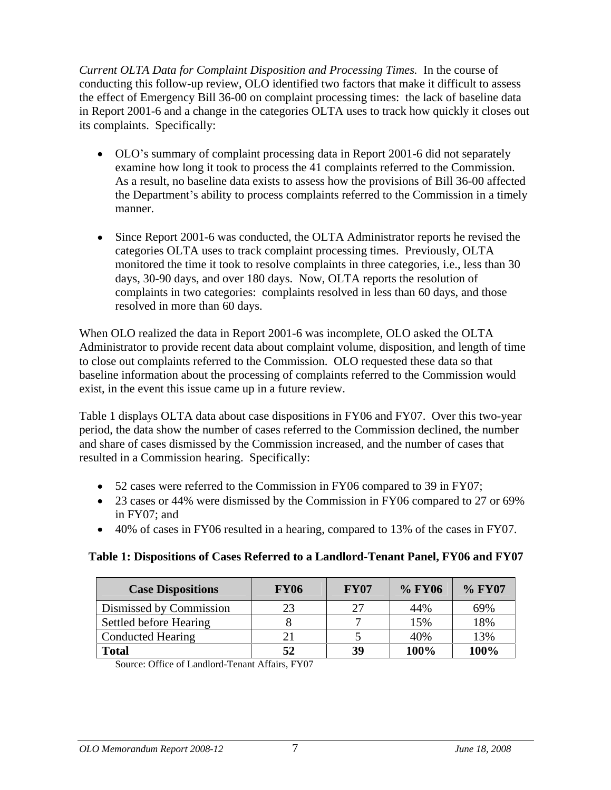*Current OLTA Data for Complaint Disposition and Processing Times.*In the course of conducting this follow-up review, OLO identified two factors that make it difficult to assess the effect of Emergency Bill 36-00 on complaint processing times: the lack of baseline data in Report 2001-6 and a change in the categories OLTA uses to track how quickly it closes out its complaints. Specifically:

- OLO's summary of complaint processing data in Report 2001–6 did not separately examine how long it took to process the 41 complaints referred to the Commission. As a result, no baseline data exists to assess how the provisions of Bill 36-00 affected the Department's ability to process complaints referred to the Commission in a timely manner.
- Since Report 2001-6 was conducted, the OLTA Administrator reports he revised the  $\bullet$ categories OLTA uses to track complaint processing times. Previously, OLTA monitored the time it took to resolve complaints in three categories, i.e., less than 30 days, 30-90 days, and over 180 days. Now, OLTA reports the resolution of complaints in two categories: complaints resolved in less than 60 days, and those resolved in more than 60 days.

When OLO realized the data in Report 2001-6 was incomplete, OLO asked the OLTA Administrator to provide recent data about complaint volume, disposition, and length of time to close out complaints referred to the Commission. OLO requested these data so that baseline information about the processing of complaints referred to the Commission would

Table 1 displays OLTA data about case dispositions in FY06 and FY07. Over this two-year period, the data show the number of cases referred to the Commission declined, the number and share of cases dismissed by the Commission increased, and the number of cases that resulted in a Commission hearing. Specifically:

- 52 cases were referred to the Commission in FY06 compared to 39 in FY07;
- 23 cases or 44% were dismissed by the Commission in FY06 compared to 27 or 69% in FY07; and
- 40% of cases in FY06 resulted in a hearing, compared to 13% of the cases in FY07.

# **Table 1: Dispositions of Cases Referred to a Landlord-Tenant Panel, FY06 and FY07**

| Case Dispositions       | <b>FY06</b> | FY07 | $\frac{6}{6}$ FY06 $\frac{6}{6}$ FY07 |       |
|-------------------------|-------------|------|---------------------------------------|-------|
| Dismissed by Commissio. | $\sim$      |      |                                       | 69%   |
| Settled before Hearing  |             |      |                                       |       |
| Conducted Hearing       |             |      |                                       |       |
| Total                   |             |      | -141                                  | -1002 |

Source: Office of Landlord-Tenant Affairs, FY07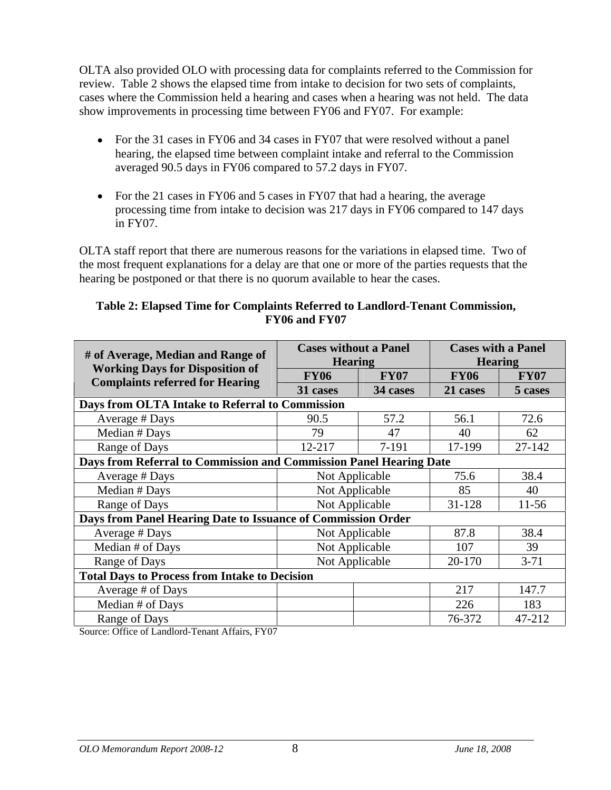OLTA also provided OLO with processing data for complaints referred to the Commission for review. Table 2 shows the elapsed time from intake to decision for two sets of complaints, cases where the Commission held a hearing and cases when a hearing was not held. The data show improvements in processing time between FY06 and FY07. For example:

- For the 31 cases in FY06 and 34 cases in FY07 that were resolved without a panel hearing, the elapsed time between complaint intake and referral to the Commission averaged 90.5 days in FY06 compared to 57.2 days in FY07.
- For the 21 cases in FY06 and 5 cases in FY07 that had a hearing, the average processing time from intake to decision was 217 days in FY06 compared to 147 days in FY07.

OLTA staff report that there are numerous reasons for the variations in elapsed time. Two of the most frequent explanations for a delay are that one or more of the parties requests that the hearing be postponed or that there is no quorum available to hear the cases.

# **Table 2: Elapsed Time for Complaints Referred to Landlord-Tenant Commission, FY06 and FY07**

| # of Average, Median and Range of                                                | <b>Cases without a Panel</b><br><b>Hearing</b> |             | <b>Cases with a Panel</b><br><b>Hearing</b> |             |
|----------------------------------------------------------------------------------|------------------------------------------------|-------------|---------------------------------------------|-------------|
| <b>Working Days for Disposition of</b><br><b>Complaints referred for Hearing</b> | <b>FY06</b>                                    | <b>FY07</b> | <b>FY06</b>                                 | <b>FY07</b> |
|                                                                                  | 31 cases                                       | 34 cases    | 21 cases                                    | 5 cases     |
| Days from OLTA Intake to Referral to Commission                                  |                                                |             |                                             |             |
| Average # Days                                                                   | 90.5                                           | 57.2        | 56.1                                        | 72.6        |
| Median # Days                                                                    | 79                                             | 47          | 40                                          | 62          |
| Range of Days                                                                    | 12-217                                         | 7-191       | 17-199                                      | 27-142      |
| Days from Referral to Commission and Commission Panel Hearing Date               |                                                |             |                                             |             |
| Average # Days                                                                   | Not Applicable                                 |             | 75.6                                        | 38.4        |
| Median # Days                                                                    | Not Applicable                                 |             | 85                                          | 40          |
| Range of Days                                                                    | Not Applicable                                 |             | 31-128                                      | $11-56$     |
| Days from Panel Hearing Date to Issuance of Commission Order                     |                                                |             |                                             |             |
| Average # Days                                                                   | Not Applicable                                 |             | 87.8                                        | 38.4        |
| Median # of Days                                                                 | Not Applicable                                 |             | 107                                         | 39          |
| Range of Days                                                                    | Not Applicable                                 |             | 20-170                                      | $3-71$      |
| <b>Total Days to Process from Intake to Decision</b>                             |                                                |             |                                             |             |
| Average # of Days                                                                |                                                |             | 217                                         | 147.7       |
| Median # of Days                                                                 |                                                |             | 226                                         | 183         |
| Range of Days                                                                    |                                                |             | 76-372                                      | 47-212      |

Source: Office of Landlord-Tenant Affairs, FY07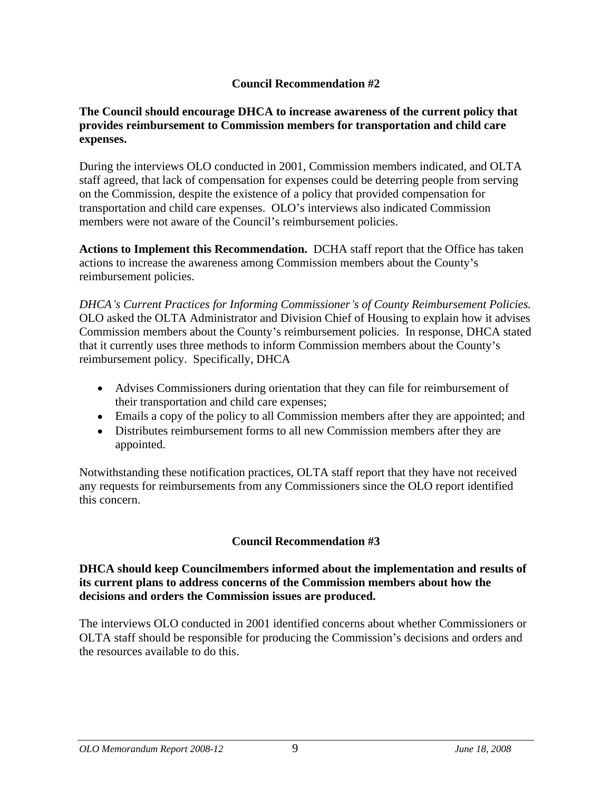# **Council Recommendation #2**

#### **The Council should encourage DHCA to increase awareness of the current policy that provides reimbursement to Commission members for transportation and child care expenses.**

During the interviews OLO conducted in 2001, Commission members indicated, and OLTA staff agreed, that lack of compensation for expenses could be deterring people from serving on the Commission, despite the existence of a policy that provided compensation for transportation and child care expenses. OLO's interviews also indicated Commission members were not aware of the Council's reimbursement policies.

**Actions to Implement this Recommendation.** DCHA staff report that the Office has taken actions to increase the awareness among Commission members about the County's reimbursement policies.

*DHCA s Current Practices for Informing Commissioner s of County Reimbursement Policies.*OLO asked the OLTA Administrator and Division Chief of Housing to explain how it advises Commission members about the County's reimbursement policies. In response, DHCA stated that it currently uses three methods to inform Commission members about the County's reimbursement policy. Specifically, DHCA

- Advises Commissioners during orientation that they can file for reimbursement of their transportation and child care expenses;
- Emails a copy of the policy to all Commission members after they are appointed; and
- Distributes reimbursement forms to all new Commission members after they are appointed.

Notwithstanding these notification practices, OLTA staff report that they have not received any requests for reimbursements from any Commissioners since the OLO report identified this concern.

# **Council Recommendation #3**

#### **DHCA should keep Councilmembers informed about the implementation and results of its current plans to address concerns of the Commission members about how the decisions and orders the Commission issues are produced.**

The interviews OLO conducted in 2001 identified concerns about whether Commissioners or OLTA staff should be responsible for producing the Commission's decisions and orders and the resources available to do this.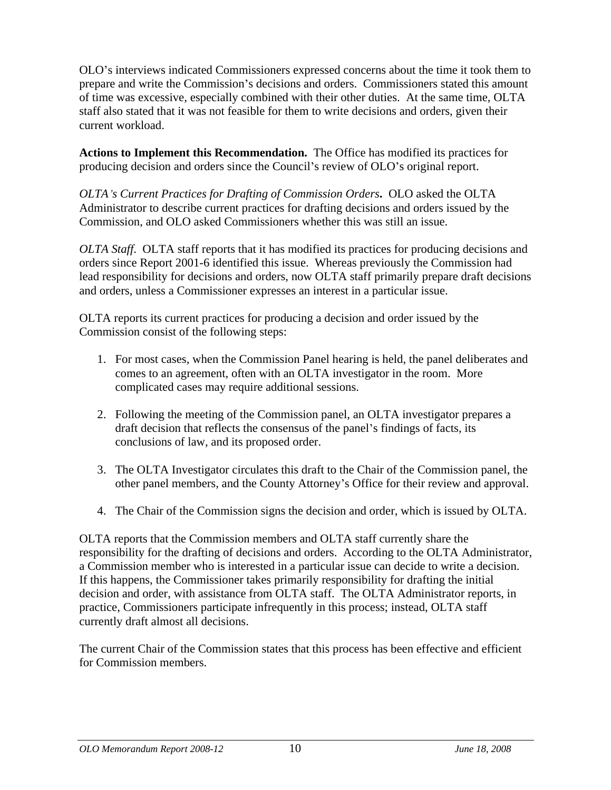OLO s interviews indicated Commissioners expressed concerns about the time it took them to prepare and write the Commission's decisions and orders. Commissioners stated this amount of time was excessive, especially combined with their other duties. At the same time, OLTA staff also stated that it was not feasible for them to write decisions and orders, given their current workload.

**Actions to Implement this Recommendation.** The Office has modified its practices for producing decision and orders since the Council's review of OLO's original report.

*OLTA s Current Practices for Drafting of Commission Orders***.** OLO asked the OLTA Administrator to describe current practices for drafting decisions and orders issued by the Commission, and OLO asked Commissioners whether this was still an issue.

*OLTA Staff*. OLTA staff reports that it has modified its practices for producing decisions and orders since Report 2001-6 identified this issue. Whereas previously the Commission had lead responsibility for decisions and orders, now OLTA staff primarily prepare draft decisions and orders, unless a Commissioner expresses an interest in a particular issue. OLTA reports its current practices for producing a decision and order issued by the

Commission consist of the following steps:

- 1. For most cases, when the Commission Panel hearing is held, the panel deliberates and comes to an agreement, often with an OLTA investigator in the room. More complicated cases may require additional sessions.
- 2. Following the meeting of the Commission panel, an OLTA investigator prepares a draft decision that reflects the consensus of the panel's findings of facts, its conclusions of law, and its proposed order.
- 3. The OLTA Investigator circulates this draft to the Chair of the Commission panel, the other panel members, and the County Attorney s Office for their review and approval.
- 4. The Chair of the Commission signs the decision and order, which is issued by OLTA.

OLTA reports that the Commission members and OLTA staff currently share the responsibility for the drafting of decisions and orders. According to the OLTA Administrator, a Commission member who is interested in a particular issue can decide to write a decision. If this happens, the Commissioner takes primarily responsibility for drafting the initial decision and order, with assistance from OLTA staff. The OLTA Administrator reports, in practice, Commissioners participate infrequently in this process; instead, OLTA staff

currently draft almost all decisions. The current Chair of the Commission states that this process has been effective and efficient for Commission members.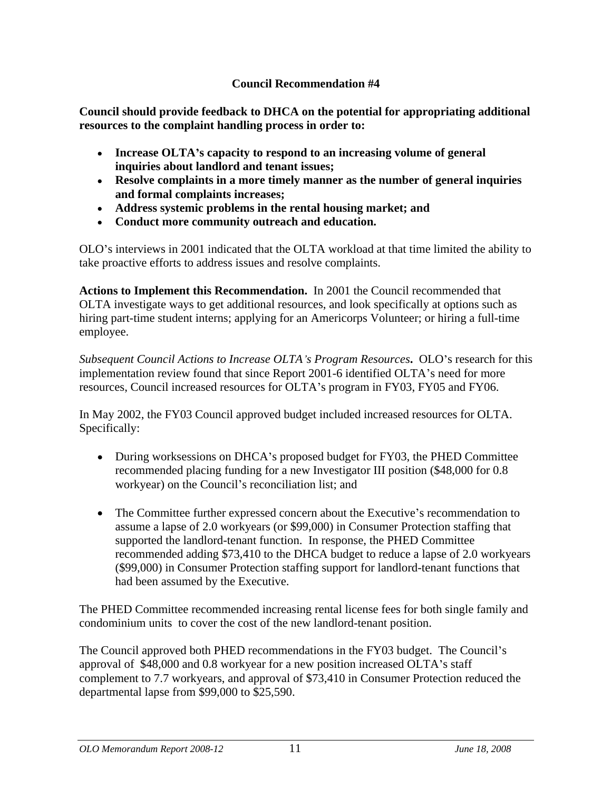# **Council Recommendation #4**

**Council should provide feedback to DHCA on the potential for appropriating additional resources to the complaint handling process in order to:**

- **Increase OLTA s capacity to respond to an increasing volume of general inquiries about landlord and tenant issues;**
- **Resolve complaints in a more timely manner as the number of general inquiries and formal complaints increases;**
- **Address systemic problems in the rental housing market; and**
- **Conduct more community outreach and education.**

OLO s interviews in 2001 indicated that the OLTA workload at that time limited the ability to take proactive efforts to address issues and resolve complaints.

**Actions to Implement this Recommendation.** In 2001 the Council recommended that OLTA investigate ways to get additional resources, and look specifically at options such as hiring part-time student interns; applying for an Americorps Volunteer; or hiring a full-time employee.

*Subsequent Council Actions to Increase OLTA s Program Resources***.** OLO sresearch for this implementation review found that since Report 2001-6 identified OLTA's need for more resources, Council increased resources for OLTA's program in FY03, FY05 and FY06.

In May 2002, the FY03 Council approved budget included increased resources for OLTA. Specifically:

- During worksessions on DHCA's proposed budget for FY03, the PHED Committee recommended placing funding for a new Investigator III position (\$48,000 for 0.8 workyear) on the Council's reconciliation list; and
- $\bullet$  The Committee further expressed concern about the Executive's recommendation to assume a lapse of 2.0 workyears (or \$99,000) in Consumer Protection staffing that supported the landlord-tenant function. In response, the PHED Committee recommended adding \$73,410 to the DHCA budget to reduce a lapse of 2.0 workyears (\$99,000) in Consumer Protection staffing support for landlord-tenant functions that had been assumed by the Executive.

The PHED Committee recommended increasing rental license fees for both single family and condominium units to cover the cost of the new landlord-tenant position.

The Council approved both PHED recommendations in the FY03 budget. The Council's approval of \$48,000 and 0.8 workyear for a new position increased OLTA's staff complement to 7.7 workyears, and approval of \$73,410 in Consumer Protection reduced the departmental lapse from \$99,000 to \$25,590.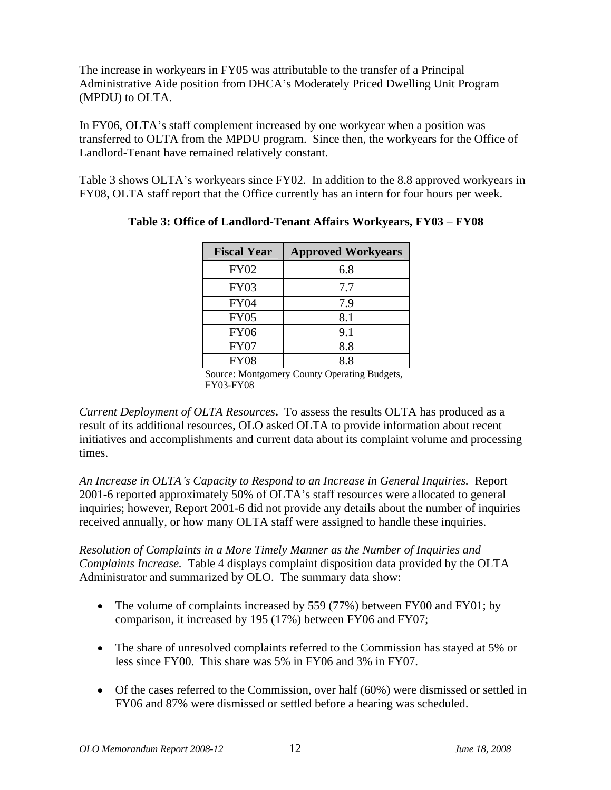The increase in workyears in FY05 was attributable to the transfer of a Principal Administrative Aide position from DHCA's Moderately Priced Dwelling Unit Program (MPDU) to OLTA.

In FY06, OLTA's staff complement increased by one workyear when a position was transferred to OLTA from the MPDU program. Since then, the workyears for the Office of Landlord-Tenant have remained relatively constant.

Table 3 shows OLTA's workyears since FY02. In addition to the 8.8 approved workyears in FY08, OLTA staff report that the Office currently has an intern for four hours per week.

| <b>Fiscal Year</b> | <b>Approved Workyears</b>        |
|--------------------|----------------------------------|
| <b>FY02</b>        | 0.8                              |
| <b>FY03</b>        | $\sim$ $\sim$<br>$\cdot$ $\cdot$ |
| <b>FY04</b>        | 7 ሰ                              |
| <b>FY05</b>        | ∪.⊥                              |
| <b>FY06</b>        |                                  |
| FY07               |                                  |
| <b>FY08</b>        |                                  |

**Table 3: Office of Landlord-Tenant Affairs Workyears, FY03 – FY08** 

Source: Montgomery County Operating Budgets, FY03-FY08

*Current Deployment of OLTA Resources***.** To assess the results OLTA has produced as a result of its additional resources, OLO asked OLTA to provide information about recent initiatives and accomplishments and current data about its complaint volume and processing times.

*An Increase in OLTA s Capacity to Respond to an Increase in General Inquiries.* Report 2001-6 reported approximately 50% of OLTA's staff resources were allocated to general inquiries; however, Report 2001-6 did not provide any details about the number of inquiries received annually, or how many OLTA staff were assigned to handle these inquiries.

*Resolution of Complaints in a More Timely Manner as the Number of Inquiries and Complaints Increase.* Table 4 displays complaint disposition data provided by the OLTA Administrator and summarized by OLO. The summary data show:

- The volume of complaints increased by 559 (77%) between FY00 and FY01; by comparison, it increased by 195 (17%) between FY06 and FY07;
- The share of unresolved complaints referred to the Commission has stayed at 5% or less since FY00. This share was 5% in FY06 and 3% in FY07.
- Of the cases referred to the Commission, over half (60%) were dismissed or settled in FY06 and 87% were dismissed or settled before a hearing was scheduled.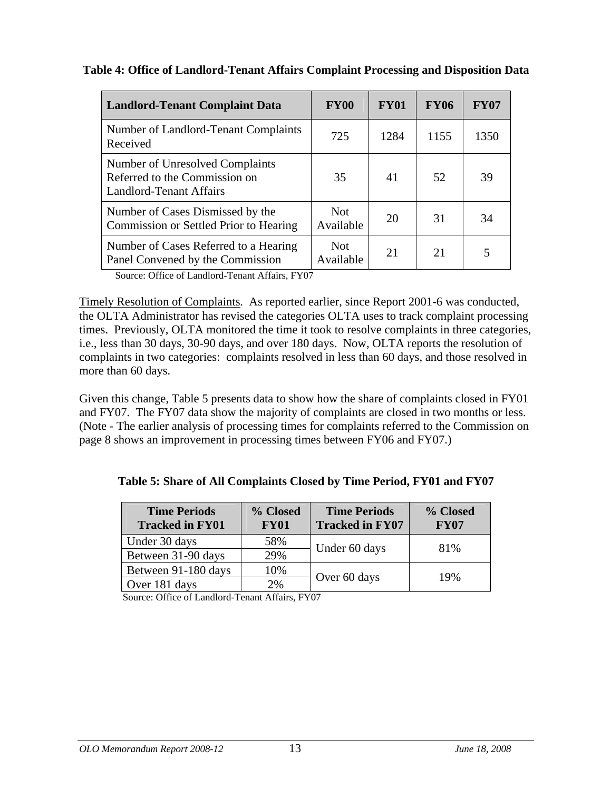| Table 4: Office of Landlord-Tenant Affairs Complaint Processing and Disposition Data |  |
|--------------------------------------------------------------------------------------|--|
|--------------------------------------------------------------------------------------|--|

| <b>Landlord-Tenant Complaint Data</b>                                                              | <b>FY00</b>      | <b>FY01</b> | FY06                                    | <b>FY07</b> |
|----------------------------------------------------------------------------------------------------|------------------|-------------|-----------------------------------------|-------------|
| Number of Landlord-Tenant Complaints<br>Received                                                   | 725              | 1284        | 1155                                    | 1350        |
| Number of Unresolved Complaints<br>Referred to the Commission on<br><b>Landlord-Tenant Affairs</b> | 35               | 41          | 52                                      | 39          |
| Number of Cases Dismissed by the<br>Commission or Settled Prior to Hearing                         | Not<br>Available | 20          | 31                                      | 34          |
| Number of Cases Referred to a Hearing<br>Panel Convened by the Commission                          | Not<br>Available | $\bigcap$ 1 | $\bigcap$ 1<br>$\overline{\phantom{0}}$ |             |

Source: Office of Landlord-Tenant Affairs, FY07

Timely Resolution of Complaints*.* As reported earlier, since Report 2001-6 was conducted, the OLTA Administrator has revised the categories OLTA uses to track complaint processing times. Previously, OLTA monitored the time it took to resolve complaints in three categories, i.e., less than 30 days, 30-90 days, and over 180 days. Now, OLTA reports the resolution of complaints in two categories: complaints resolved in less than 60 days, and those resolved in more than 60 days.

Given this change, Table 5 presents data to show how the share of complaints closed in FY01 and FY07. The FY07 data show the majority of complaints are closed in two months or less. (Note - The earlier analysis of processing times for complaints referred to the Commission on page 8 shows an improvement in processing times between FY06 and FY07.)

**Table 5: Share of All Complaints Closed by Time Period, FY01 and FY07**

|                                         | % Close                    | <b>Time Periods</b>             | % Closed    |
|-----------------------------------------|----------------------------|---------------------------------|-------------|
| <b>Time Periods<br/>Tracked in FY01</b> |                            | $\vert$ Tracked in FY07 $\vert$ | <b>FY07</b> |
| Under 30 days                           | 58%                        | Under 60 days                   | 81%         |
| Between 31-90 days                      | 29%                        |                                 |             |
| Between 91-180 days                     | 10%                        | $\sim$ Over 60 days             | 19%         |
| Over 181 days                           | $\sim$ $\sim$<br>$\sim 70$ |                                 |             |

Source: Office of Landlord-Tenant Affairs, FY07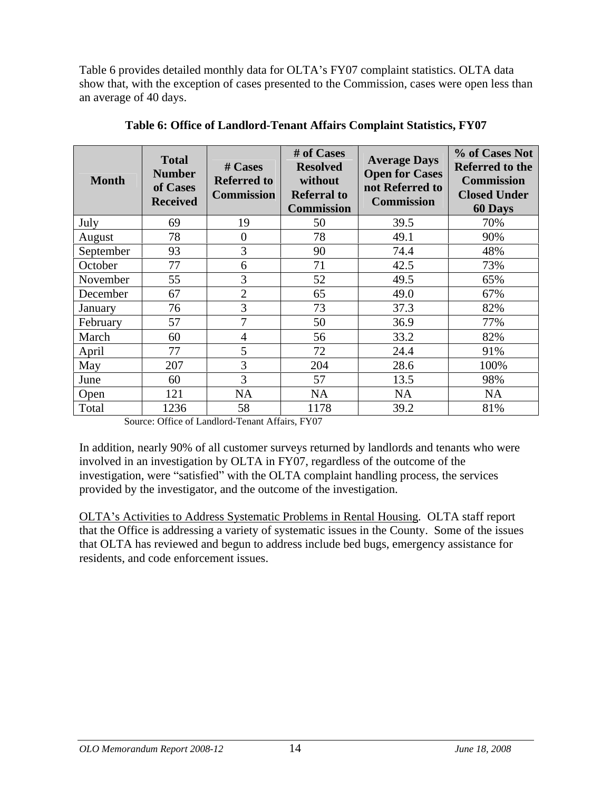Table 6 provides detailed monthly data for OLTA's FY07 complaint statistics. OLTA data show that, with the exception of cases presented to the Commission, cases were open less than an average of 40 days.

| <b>Month</b>                     | <b>Total</b><br><b>Number</b><br>of Cases<br>Received | # Cases<br><b>Referred to</b><br>$\mathop{\mathsf{Commission}}\nolimits\mathop{\rule[1pt]{.5pt}{0.5pt}}\nolimits\,$ | # of Cases<br>Resolved<br>without<br><b>Referral to</b><br><b>Commission</b> | Average Days<br>Open for Cases Referred to the<br>not Referred to Closed Under<br><b>Commission</b> | Commission<br>60 Days |
|----------------------------------|-------------------------------------------------------|---------------------------------------------------------------------------------------------------------------------|------------------------------------------------------------------------------|-----------------------------------------------------------------------------------------------------|-----------------------|
| July<br>$\overline{\phantom{a}}$ |                                                       | 19                                                                                                                  | 50                                                                           | 39.5                                                                                                | 70%                   |
| <b>August</b>                    |                                                       |                                                                                                                     | 78                                                                           | 49.1                                                                                                | 90%                   |
| September                        |                                                       |                                                                                                                     | - 90                                                                         | 74.4                                                                                                | 48%                   |
| October                          |                                                       |                                                                                                                     | 71                                                                           | 42.5                                                                                                | 73%                   |
| November                         |                                                       |                                                                                                                     |                                                                              | 49.5                                                                                                | 65%                   |
| December                         |                                                       |                                                                                                                     |                                                                              | 49.0                                                                                                | 67%                   |
| January                          |                                                       |                                                                                                                     |                                                                              |                                                                                                     | 82%                   |
| February                         |                                                       |                                                                                                                     |                                                                              | 36.S                                                                                                | 7%                    |
| March                            |                                                       |                                                                                                                     |                                                                              | 79.Z                                                                                                | 82%                   |
| April                            |                                                       |                                                                                                                     |                                                                              | 24.4                                                                                                | 91%                   |
| May                              | 207                                                   |                                                                                                                     | 204                                                                          | 28.6                                                                                                | 100%                  |
| June                             |                                                       |                                                                                                                     | $\overline{a}$                                                               | 13.5                                                                                                | 98%                   |
| Open                             | 121                                                   | NA                                                                                                                  | NA                                                                           | <b>NA</b>                                                                                           | <b>NA</b>             |
| Total                            | 1236                                                  | 5Q                                                                                                                  | 1178                                                                         | 39.2                                                                                                | 81%                   |

**Table 6: Office of Landlord-Tenant Affairs Complaint Statistics, FY07**

Source: Office of Landlord-Tenant Affairs, FY07

In addition, nearly 90% of all customer surveys returned by landlords and tenants who were involved in an investigation by OLTA in FY07, regardless of the outcome of the investigation, were "satisfied" with the OLTA complaint handling process, the services provided by the investigator, and the outcome of the investigation.

OLTA s Activities to Address Systematic Problems in Rental Housing*.* OLTA staff report that the Office is addressing a variety of systematic issues in the County. Some of the issues that OLTA has reviewed and begun to address include bed bugs, emergency assistance for residents, and code enforcement issues.